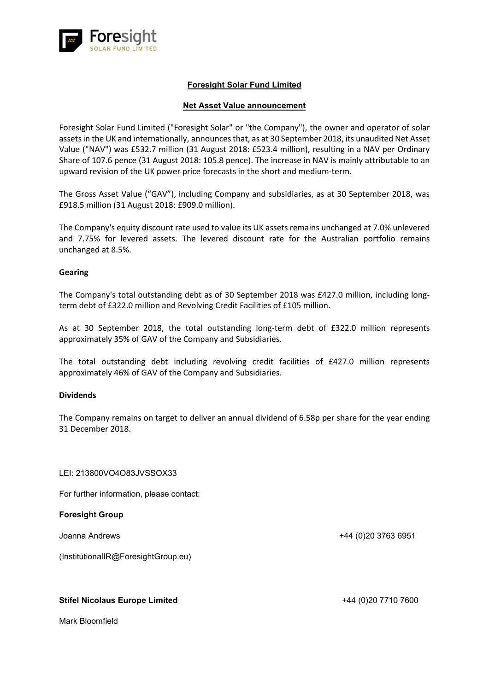

## **Foresight Solar Fund Limited**

### **Net Asset Value announcement**

Foresight Solar Fund Limited ("Foresight Solar" or "the Company"), the owner and operator of solar assets in the UK and internationally, announces that, as at 30 September 2018, its unaudited Net Asset Value ("NAV") was £532.7 million (31 August 2018: £523.4 million), resulting in a NAV per Ordinary Share of 107.6 pence (31 August 2018: 105.8 pence). The increase in NAV is mainly attributable to an upward revision of the UK power price forecasts in the short and medium-term.

The Gross Asset Value ("GAV"), including Company and subsidiaries, as at 30 September 2018, was £918.5 million (31 August 2018: £909.0 million).

The Company's equity discount rate used to value its UK assets remains unchanged at 7.0% unlevered and 7.75% for levered assets. The levered discount rate for the Australian portfolio remains unchanged at 8.5%.

#### **Gearing**

The Company's total outstanding debt as of 30 September 2018 was £427.0 million, including longterm debt of £322.0 million and Revolving Credit Facilities of £105 million.

As at 30 September 2018, the total outstanding long-term debt of £322.0 million represents approximately 35% of GAV of the Company and Subsidiaries.

The total outstanding debt including revolving credit facilities of £427.0 million represents approximately 46% of GAV of the Company and Subsidiaries.

#### **Dividends**

The Company remains on target to deliver an annual dividend of 6.58p per share for the year ending 31 December 2018.

#### LEI: 213800VO4O83JVSSOX33

For further information, please contact:

#### **Foresight Group**

Joanna Andrews +44 (0)20 3763 6951

(InstitutionalIR@ForesightGroup.eu)

#### **Stifel Nicolaus Europe Limited**  $+44 (0)20 7710 7600$

Mark Bloomfield